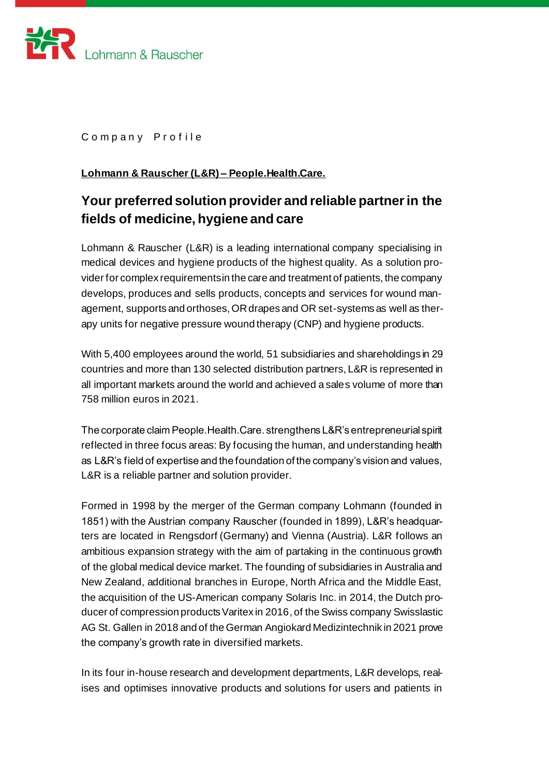

Company Profile

## **Lohmann & Rauscher (L&R) – People.Health.Care.**

## **Your preferred solution provider and reliable partner in the fields of medicine, hygiene and care**

Lohmann & Rauscher (L&R) is a leading international company specialising in medical devices and hygiene products of the highest quality. As a solution provider for complex requirements in the care and treatment of patients, the company develops, produces and sells products, concepts and services for wound management, supports and orthoses, OR drapes and OR set-systems as well as therapy units for negative pressure wound therapy (CNP) and hygiene products.

With 5,400 employees around the world, 51 subsidiaries and shareholdings in 29 countries and more than 130 selected distribution partners, L&R is represented in all important markets around the world and achieved a sales volume of more than 758 million euros in 2021.

The corporate claim People.Health.Care. strengthens L&R's entrepreneurial spirit reflected in three focus areas: By focusing the human, and understanding health as L&R's field of expertise and the foundation of the company's vision and values, L&R is a reliable partner and solution provider.

Formed in 1998 by the merger of the German company Lohmann (founded in 1851) with the Austrian company Rauscher (founded in 1899), L&R's headquarters are located in Rengsdorf (Germany) and Vienna (Austria). L&R follows an ambitious expansion strategy with the aim of partaking in the continuous growth of the global medical device market. The founding of subsidiaries in Australia and New Zealand, additional branches in Europe, North Africa and the Middle East, the acquisition of the US-American company Solaris Inc. in 2014, the Dutch producer of compression products Varitex in 2016, of the Swiss company Swisslastic AG St. Gallen in 2018 and of the German Angiokard Medizintechnik in 2021 prove the company's growth rate in diversified markets.

In its four in-house research and development departments, L&R develops, realises and optimises innovative products and solutions for users and patients in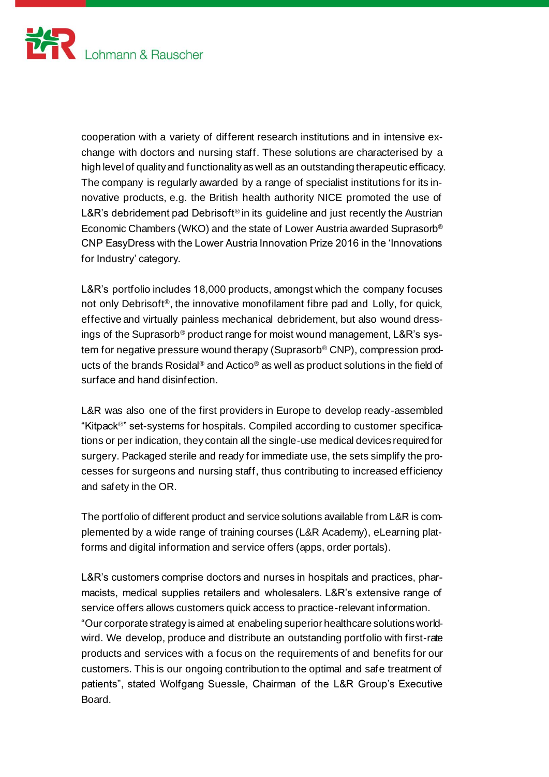

cooperation with a variety of different research institutions and in intensive exchange with doctors and nursing staff. These solutions are characterised by a high level of quality and functionality as well as an outstanding therapeutic efficacy. The company is regularly awarded by a range of specialist institutions for its innovative products, e.g. the British health authority NICE promoted the use of L&R's debridement pad Debrisoft<sup>®</sup> in its guideline and just recently the Austrian Economic Chambers (WKO) and the state of Lower Austria awarded Suprasorb® CNP EasyDress with the Lower Austria Innovation Prize 2016 in the 'Innovations for Industry' category.

L&R's portfolio includes 18,000 products, amongst which the company focuses not only Debrisoft®, the innovative monofilament fibre pad and Lolly, for quick, effective and virtually painless mechanical debridement, but also wound dressings of the Suprasorb® product range for moist wound management, L&R's system for negative pressure wound therapy (Suprasorb® CNP), compression products of the brands Rosidal® and Actico® as well as product solutions in the field of surface and hand disinfection.

L&R was also one of the first providers in Europe to develop ready-assembled "Kitpack®" set-systems for hospitals. Compiled according to customer specifications or per indication, they contain all the single-use medical devices required for surgery. Packaged sterile and ready for immediate use, the sets simplify the processes for surgeons and nursing staff, thus contributing to increased efficiency and safety in the OR.

The portfolio of different product and service solutions available from L&R is complemented by a wide range of training courses (L&R Academy), eLearning platforms and digital information and service offers (apps, order portals).

L&R's customers comprise doctors and nurses in hospitals and practices, pharmacists, medical supplies retailers and wholesalers. L&R's extensive range of service offers allows customers quick access to practice-relevant information. "Our corporate strategy is aimed at enabeling superior healthcare solutions worldwird. We develop, produce and distribute an outstanding portfolio with first-rate products and services with a focus on the requirements of and benefits for our customers. This is our ongoing contribution to the optimal and safe treatment of patients", stated Wolfgang Suessle, Chairman of the L&R Group's Executive Board.